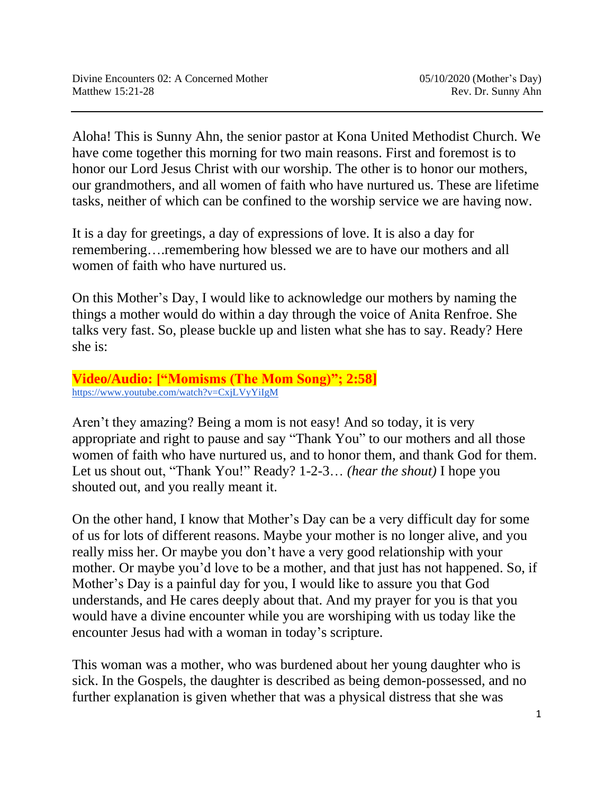Aloha! This is Sunny Ahn, the senior pastor at Kona United Methodist Church. We have come together this morning for two main reasons. First and foremost is to honor our Lord Jesus Christ with our worship. The other is to honor our mothers, our grandmothers, and all women of faith who have nurtured us. These are lifetime tasks, neither of which can be confined to the worship service we are having now.

It is a day for greetings, a day of expressions of love. It is also a day for remembering….remembering how blessed we are to have our mothers and all women of faith who have nurtured us.

On this Mother's Day, I would like to acknowledge our mothers by naming the things a mother would do within a day through the voice of Anita Renfroe. She talks very fast. So, please buckle up and listen what she has to say. Ready? Here she is:

## **Video/Audio: ["Momisms (The Mom Song)"; 2:58]** <https://www.youtube.com/watch?v=CxjLVyYiIgM>

Aren't they amazing? Being a mom is not easy! And so today, it is very appropriate and right to pause and say "Thank You" to our mothers and all those women of faith who have nurtured us, and to honor them, and thank God for them. Let us shout out, "Thank You!" Ready? 1-2-3… *(hear the shout)* I hope you shouted out, and you really meant it.

On the other hand, I know that Mother's Day can be a very difficult day for some of us for lots of different reasons. Maybe your mother is no longer alive, and you really miss her. Or maybe you don't have a very good relationship with your mother. Or maybe you'd love to be a mother, and that just has not happened. So, if Mother's Day is a painful day for you, I would like to assure you that God understands, and He cares deeply about that. And my prayer for you is that you would have a divine encounter while you are worshiping with us today like the encounter Jesus had with a woman in today's scripture.

This woman was a mother, who was burdened about her young daughter who is sick. In the Gospels, the daughter is described as being demon-possessed, and no further explanation is given whether that was a physical distress that she was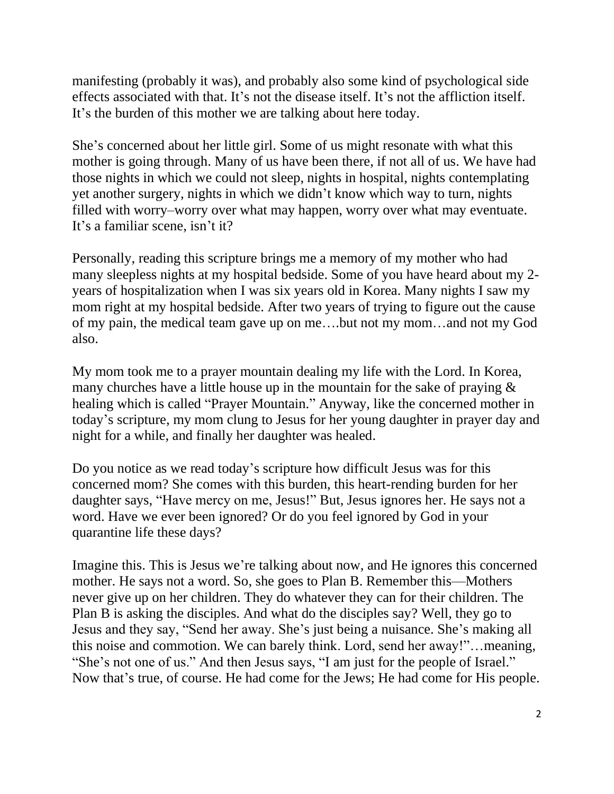manifesting (probably it was), and probably also some kind of psychological side effects associated with that. It's not the disease itself. It's not the affliction itself. It's the burden of this mother we are talking about here today.

She's concerned about her little girl. Some of us might resonate with what this mother is going through. Many of us have been there, if not all of us. We have had those nights in which we could not sleep, nights in hospital, nights contemplating yet another surgery, nights in which we didn't know which way to turn, nights filled with worry–worry over what may happen, worry over what may eventuate. It's a familiar scene, isn't it?

Personally, reading this scripture brings me a memory of my mother who had many sleepless nights at my hospital bedside. Some of you have heard about my 2 years of hospitalization when I was six years old in Korea. Many nights I saw my mom right at my hospital bedside. After two years of trying to figure out the cause of my pain, the medical team gave up on me….but not my mom…and not my God also.

My mom took me to a prayer mountain dealing my life with the Lord. In Korea, many churches have a little house up in the mountain for the sake of praying & healing which is called "Prayer Mountain." Anyway, like the concerned mother in today's scripture, my mom clung to Jesus for her young daughter in prayer day and night for a while, and finally her daughter was healed.

Do you notice as we read today's scripture how difficult Jesus was for this concerned mom? She comes with this burden, this heart-rending burden for her daughter says, "Have mercy on me, Jesus!" But, Jesus ignores her. He says not a word. Have we ever been ignored? Or do you feel ignored by God in your quarantine life these days?

Imagine this. This is Jesus we're talking about now, and He ignores this concerned mother. He says not a word. So, she goes to Plan B. Remember this—Mothers never give up on her children. They do whatever they can for their children. The Plan B is asking the disciples. And what do the disciples say? Well, they go to Jesus and they say, "Send her away. She's just being a nuisance. She's making all this noise and commotion. We can barely think. Lord, send her away!"…meaning, "She's not one of us." And then Jesus says, "I am just for the people of Israel." Now that's true, of course. He had come for the Jews; He had come for His people.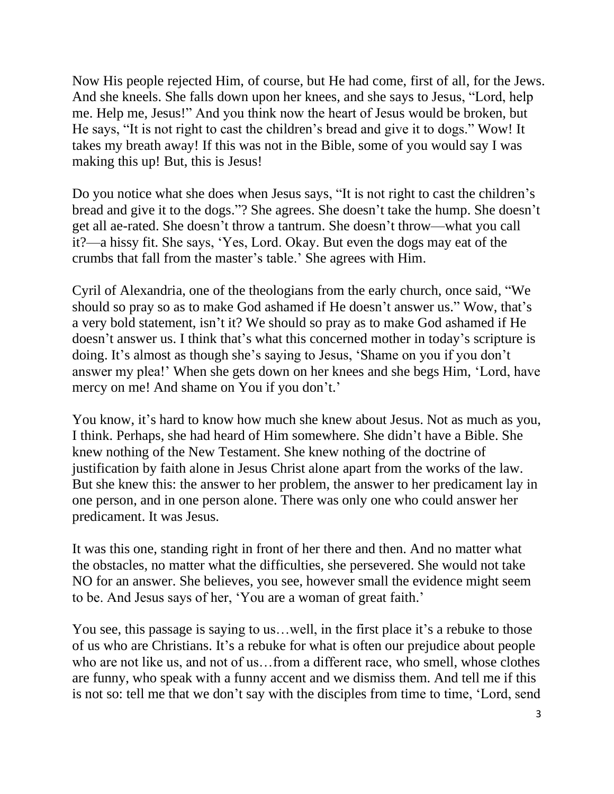Now His people rejected Him, of course, but He had come, first of all, for the Jews. And she kneels. She falls down upon her knees, and she says to Jesus, "Lord, help me. Help me, Jesus!" And you think now the heart of Jesus would be broken, but He says, "It is not right to cast the children's bread and give it to dogs." Wow! It takes my breath away! If this was not in the Bible, some of you would say I was making this up! But, this is Jesus!

Do you notice what she does when Jesus says, "It is not right to cast the children's bread and give it to the dogs."? She agrees. She doesn't take the hump. She doesn't get all ae-rated. She doesn't throw a tantrum. She doesn't throw—what you call it?—a hissy fit. She says, 'Yes, Lord. Okay. But even the dogs may eat of the crumbs that fall from the master's table.' She agrees with Him.

Cyril of Alexandria, one of the theologians from the early church, once said, "We should so pray so as to make God ashamed if He doesn't answer us." Wow, that's a very bold statement, isn't it? We should so pray as to make God ashamed if He doesn't answer us. I think that's what this concerned mother in today's scripture is doing. It's almost as though she's saying to Jesus, 'Shame on you if you don't answer my plea!' When she gets down on her knees and she begs Him, 'Lord, have mercy on me! And shame on You if you don't.'

You know, it's hard to know how much she knew about Jesus. Not as much as you, I think. Perhaps, she had heard of Him somewhere. She didn't have a Bible. She knew nothing of the New Testament. She knew nothing of the doctrine of justification by faith alone in Jesus Christ alone apart from the works of the law. But she knew this: the answer to her problem, the answer to her predicament lay in one person, and in one person alone. There was only one who could answer her predicament. It was Jesus.

It was this one, standing right in front of her there and then. And no matter what the obstacles, no matter what the difficulties, she persevered. She would not take NO for an answer. She believes, you see, however small the evidence might seem to be. And Jesus says of her, 'You are a woman of great faith.'

You see, this passage is saying to us…well, in the first place it's a rebuke to those of us who are Christians. It's a rebuke for what is often our prejudice about people who are not like us, and not of us…from a different race, who smell, whose clothes are funny, who speak with a funny accent and we dismiss them. And tell me if this is not so: tell me that we don't say with the disciples from time to time, 'Lord, send